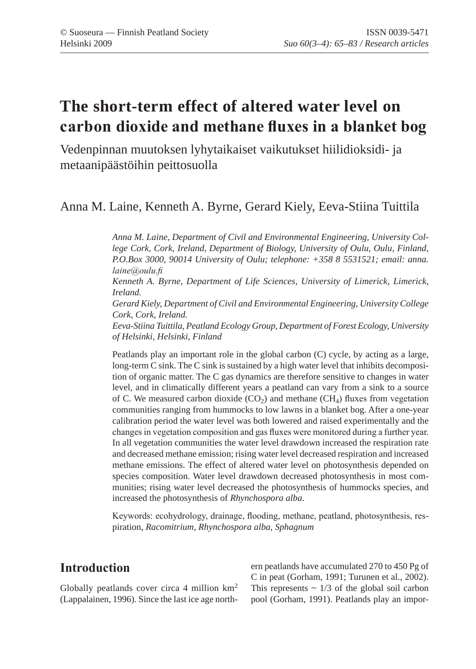# **The short-term effect of altered water level on carbon dioxide and methane fluxes in a blanket bog**

Vedenpinnan muutoksen lyhytaikaiset vaikutukset hiilidioksidi- ja metaanipäästöihin peittosuolla

### Anna M. Laine, Kenneth A. Byrne, Gerard Kiely, Eeva-Stiina Tuittila

*Anna M. Laine, Department of Civil and Environmental Engineering, University College Cork, Cork, Ireland, Department of Biology, University of Oulu, Oulu, Finland, P.O.Box 3000, 90014 University of Oulu; telephone: +358 8 5531521; email: anna. laine@oulu.fi*

*Kenneth A. Byrne, Department of Life Sciences, University of Limerick, Limerick, Ireland.*

*Gerard Kiely, Department of Civil and Environmental Engineering, University College Cork, Cork, Ireland.*

*Eeva-Stiina Tuittila, Peatland Ecology Group, Department of Forest Ecology, University of Helsinki, Helsinki, Finland*

Peatlands play an important role in the global carbon (C) cycle, by acting as a large, long-term C sink. The C sink is sustained by a high water level that inhibits decomposition of organic matter. The C gas dynamics are therefore sensitive to changes in water level, and in climatically different years a peatland can vary from a sink to a source of C. We measured carbon dioxide  $(CO<sub>2</sub>)$  and methane  $(CH<sub>4</sub>)$  fluxes from vegetation communities ranging from hummocks to low lawns in a blanket bog. After a one-year calibration period the water level was both lowered and raised experimentally and the changes in vegetation composition and gas fluxes were monitored during a further year. In all vegetation communities the water level drawdown increased the respiration rate and decreased methane emission; rising water level decreased respiration and increased methane emissions. The effect of altered water level on photosynthesis depended on species composition. Water level drawdown decreased photosynthesis in most communities; rising water level decreased the photosynthesis of hummocks species, and increased the photosynthesis of *Rhynchospora alba*.

Keywords: ecohydrology, drainage, flooding, methane, peatland, photosynthesis, respiration, *Racomitrium, Rhynchospora alba, Sphagnum*

## **Introduction**

Globally peatlands cover circa 4 million km<sup>2</sup> (Lappalainen, 1996). Since the last ice age northern peatlands have accumulated 270 to 450 Pg of C in peat (Gorham, 1991; Turunen et al., 2002). This represents  $\sim 1/3$  of the global soil carbon pool (Gorham, 1991). Peatlands play an impor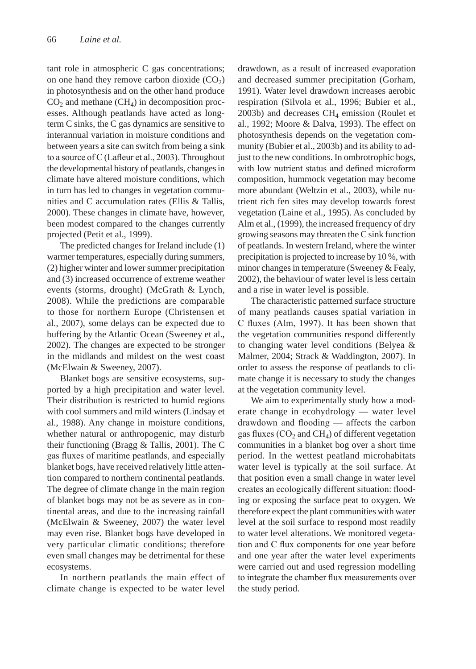tant role in atmospheric C gas concentrations; on one hand they remove carbon dioxide  $(CO<sub>2</sub>)$ in photosynthesis and on the other hand produce  $CO<sub>2</sub>$  and methane (CH<sub>4</sub>) in decomposition processes. Although peatlands have acted as longterm C sinks, the C gas dynamics are sensitive to interannual variation in moisture conditions and between years a site can switch from being a sink to a source of C (Lafleur et al., 2003). Throughout the developmental history of peatlands, changes in climate have altered moisture conditions, which in turn has led to changes in vegetation communities and C accumulation rates (Ellis & Tallis, 2000). These changes in climate have, however, been modest compared to the changes currently projected (Petit et al., 1999).

The predicted changes for Ireland include (1) warmer temperatures, especially during summers, (2) higher winter and lower summer precipitation and (3) increased occurrence of extreme weather events (storms, drought) (McGrath & Lynch, 2008). While the predictions are comparable to those for northern Europe (Christensen et al., 2007), some delays can be expected due to buffering by the Atlantic Ocean (Sweeney et al., 2002). The changes are expected to be stronger in the midlands and mildest on the west coast (McElwain & Sweeney, 2007).

Blanket bogs are sensitive ecosystems, supported by a high precipitation and water level. Their distribution is restricted to humid regions with cool summers and mild winters (Lindsay et al., 1988). Any change in moisture conditions, whether natural or anthropogenic, may disturb their functioning (Bragg & Tallis, 2001). The C gas fluxes of maritime peatlands, and especially blanket bogs, have received relatively little attention compared to northern continental peatlands. The degree of climate change in the main region of blanket bogs may not be as severe as in continental areas, and due to the increasing rainfall (McElwain & Sweeney, 2007) the water level may even rise. Blanket bogs have developed in very particular climatic conditions; therefore even small changes may be detrimental for these ecosystems.

In northern peatlands the main effect of climate change is expected to be water level

drawdown, as a result of increased evaporation and decreased summer precipitation (Gorham, 1991). Water level drawdown increases aerobic respiration (Silvola et al., 1996; Bubier et al.,  $2003b$ ) and decreases CH<sub>4</sub> emission (Roulet et al., 1992; Moore & Dalva, 1993). The effect on photosynthesis depends on the vegetation community (Bubier et al., 2003b) and its ability to adjust to the new conditions. In ombrotrophic bogs, with low nutrient status and defined microform composition, hummock vegetation may become more abundant (Weltzin et al., 2003), while nutrient rich fen sites may develop towards forest vegetation (Laine et al., 1995). As concluded by Alm et al., (1999), the increased frequency of dry growing seasons may threaten the C sink function of peatlands. In western Ireland, where the winter precipitation is projected to increase by 10 %, with minor changes in temperature (Sweeney & Fealy, 2002), the behaviour of water level is less certain and a rise in water level is possible.

The characteristic patterned surface structure of many peatlands causes spatial variation in C fluxes (Alm, 1997). It has been shown that the vegetation communities respond differently to changing water level conditions (Belyea & Malmer, 2004; Strack & Waddington, 2007). In order to assess the response of peatlands to climate change it is necessary to study the changes at the vegetation community level.

We aim to experimentally study how a moderate change in ecohydrology — water level drawdown and flooding — affects the carbon gas fluxes  $(CO_2$  and  $CH_4$ ) of different vegetation communities in a blanket bog over a short time period. In the wettest peatland microhabitats water level is typically at the soil surface. At that position even a small change in water level creates an ecologically different situation: flooding or exposing the surface peat to oxygen. We therefore expect the plant communities with water level at the soil surface to respond most readily to water level alterations. We monitored vegetation and C flux components for one year before and one year after the water level experiments were carried out and used regression modelling to integrate the chamber flux measurements over the study period.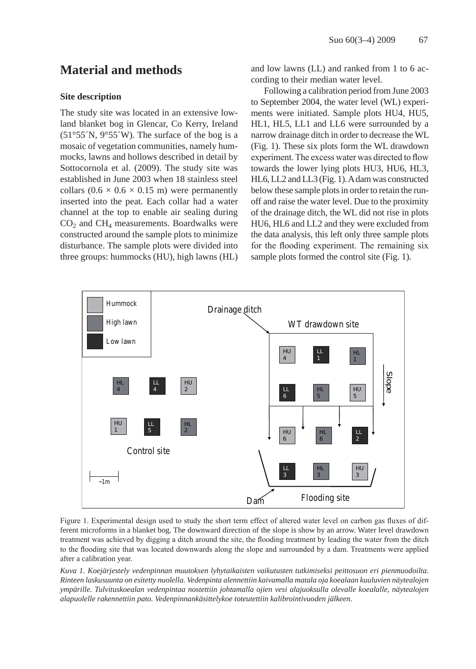### **Material and methods**

#### **Site description**

The study site was located in an extensive lowland blanket bog in Glencar, Co Kerry, Ireland  $(51°55'N, 9°55'W)$ . The surface of the bog is a mosaic of vegetation communities, namely hummocks, lawns and hollows described in detail by Sottocornola et al. (2009). The study site was established in June 2003 when 18 stainless steel collars  $(0.6 \times 0.6 \times 0.15 \text{ m})$  were permanently inserted into the peat. Each collar had a water channel at the top to enable air sealing during  $CO<sub>2</sub>$  and  $CH<sub>4</sub>$  measurements. Boardwalks were constructed around the sample plots to minimize disturbance. The sample plots were divided into three groups: hummocks (HU), high lawns (HL)

and low lawns (LL) and ranked from 1 to 6 according to their median water level.

Following a calibration period from June 2003 to September 2004, the water level (WL) experiments were initiated. Sample plots HU4, HU5, HL1, HL5, LL1 and LL6 were surrounded by a narrow drainage ditch in order to decrease the WL (Fig. 1). These six plots form the WL drawdown experiment. The excess water was directed to flow towards the lower lying plots HU3, HU6, HL3, HL6, LL2 and LL3 (Fig. 1). A dam was constructed below these sample plots in order to retain the runoff and raise the water level. Due to the proximity of the drainage ditch, the WL did not rise in plots HU6, HL6 and LL2 and they were excluded from the data analysis, this left only three sample plots for the flooding experiment. The remaining six sample plots formed the control site (Fig. 1).



Figure 1. Experimental design used to study the short term effect of altered water level on carbon gas fluxes of different microforms in a blanket bog. The downward direction of the slope is show by an arrow. Water level drawdown treatment was achieved by digging a ditch around the site, the flooding treatment by leading the water from the ditch to the flooding site that was located downwards along the slope and surrounded by a dam. Treatments were applied after a calibration year.

*Kuva 1. Koejärjestely vedenpinnan muutoksen lyhytaikaisten vaikutusten tutkimiseksi peittosuon eri pienmuodoilta. Rinteen laskusuunta on esitetty nuolella. Vedenpinta alennettiin kaivamalla matala oja koealaan kuuluvien näytealojen ympärille. Tulvituskoealan vedenpintaa nostettiin johtamalla ojien vesi alajuoksulla olevalle koealalle, näytealojen alapuolelle rakennettiin pato. Vedenpinnankäsittelykoe toteutettiin kalibrointivuoden jälkeen.*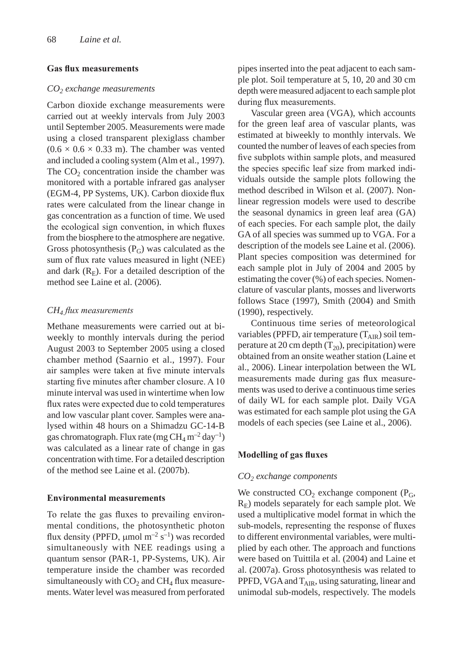#### **Gas flux measurements**

#### *CO2 exchange measurements*

Carbon dioxide exchange measurements were carried out at weekly intervals from July 2003 until September 2005. Measurements were made using a closed transparent plexiglass chamber  $(0.6 \times 0.6 \times 0.33 \text{ m})$ . The chamber was vented and included a cooling system (Alm et al., 1997). The  $CO<sub>2</sub>$  concentration inside the chamber was monitored with a portable infrared gas analyser (EGM-4, PP Systems, UK). Carbon dioxide flux rates were calculated from the linear change in gas concentration as a function of time. We used the ecological sign convention, in which fluxes from the biosphere to the atmosphere are negative. Gross photosynthesis  $(P_G)$  was calculated as the sum of flux rate values measured in light (NEE) and dark  $(R<sub>E</sub>)$ . For a detailed description of the method see Laine et al. (2006).

#### *CH4 flux measurements*

Methane measurements were carried out at biweekly to monthly intervals during the period August 2003 to September 2005 using a closed chamber method (Saarnio et al., 1997). Four air samples were taken at five minute intervals starting five minutes after chamber closure. A 10 minute interval was used in wintertime when low flux rates were expected due to cold temperatures and low vascular plant cover. Samples were analysed within 48 hours on a Shimadzu GC-14-B gas chromatograph. Flux rate (mg  $CH_4$  m<sup>-2</sup> day<sup>-1</sup>) was calculated as a linear rate of change in gas concentration with time. For a detailed description of the method see Laine et al. (2007b).

#### **Environmental measurements**

To relate the gas fluxes to prevailing environmental conditions, the photosynthetic photon flux density (PPFD,  $\mu$ mol m<sup>-2</sup> s<sup>-1</sup>) was recorded simultaneously with NEE readings using a quantum sensor (PAR-1, PP-Systems, UK). Air temperature inside the chamber was recorded simultaneously with  $CO<sub>2</sub>$  and  $CH<sub>4</sub>$  flux measurements. Water level was measured from perforated pipes inserted into the peat adjacent to each sample plot. Soil temperature at 5, 10, 20 and 30 cm depth were measured adjacent to each sample plot during flux measurements.

Vascular green area (VGA), which accounts for the green leaf area of vascular plants, was estimated at biweekly to monthly intervals. We counted the number of leaves of each species from five subplots within sample plots, and measured the species specific leaf size from marked individuals outside the sample plots following the method described in Wilson et al. (2007). Nonlinear regression models were used to describe the seasonal dynamics in green leaf area (GA) of each species. For each sample plot, the daily GA of all species was summed up to VGA. For a description of the models see Laine et al. (2006). Plant species composition was determined for each sample plot in July of 2004 and 2005 by estimating the cover (%) of each species. Nomenclature of vascular plants, mosses and liverworts follows Stace (1997), Smith (2004) and Smith (1990), respectively.

Continuous time series of meteorological variables (PPFD, air temperature  $(T_{\text{AIR}})$  soil temperature at 20 cm depth  $(T_{20})$ , precipitation) were obtained from an onsite weather station (Laine et al., 2006). Linear interpolation between the WL measurements made during gas flux measurements was used to derive a continuous time series of daily WL for each sample plot. Daily VGA was estimated for each sample plot using the GA models of each species (see Laine et al., 2006).

#### **Modelling of gas fluxes**

#### *CO2 exchange components*

We constructed  $CO<sub>2</sub>$  exchange component ( $P<sub>G</sub>$ ,  $R<sub>E</sub>$ ) models separately for each sample plot. We used a multiplicative model format in which the sub-models, representing the response of fluxes to different environmental variables, were multiplied by each other. The approach and functions were based on Tuittila et al. (2004) and Laine et al. (2007a). Gross photosynthesis was related to PPFD, VGA and  $T_{\text{AIR}}$ , using saturating, linear and unimodal sub-models, respectively. The models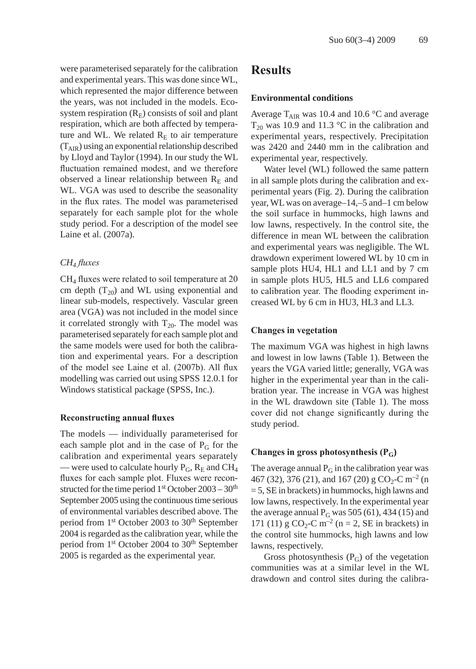were parameterised separately for the calibration and experimental years. This was done since WL, which represented the major difference between the years, was not included in the models. Ecosystem respiration  $(R<sub>E</sub>)$  consists of soil and plant respiration, which are both affected by temperature and WL. We related  $R<sub>E</sub>$  to air temperature  $(T_{\rm AIR})$  using an exponential relationship described by Lloyd and Taylor (1994). In our study the WL fluctuation remained modest, and we therefore observed a linear relationship between  $R_E$  and WL. VGA was used to describe the seasonality in the flux rates. The model was parameterised separately for each sample plot for the whole study period. For a description of the model see Laine et al. (2007a).

#### *CH4 fluxes*

 $CH<sub>4</sub>$  fluxes were related to soil temperature at 20 cm depth  $(T_{20})$  and WL using exponential and linear sub-models, respectively. Vascular green area (VGA) was not included in the model since it correlated strongly with  $T_{20}$ . The model was parameterised separately for each sample plot and the same models were used for both the calibration and experimental years. For a description of the model see Laine et al. (2007b). All flux modelling was carried out using SPSS 12.0.1 for Windows statistical package (SPSS, Inc.).

#### **Reconstructing annual fluxes**

The models — individually parameterised for each sample plot and in the case of  $P_G$  for the calibration and experimental years separately — were used to calculate hourly  $P_G$ ,  $R_E$  and CH<sub>4</sub> fluxes for each sample plot. Fluxes were reconstructed for the time period  $1<sup>st</sup>$  October 2003 – 30<sup>th</sup> September 2005 using the continuous time serious of environmental variables described above. The period from 1<sup>st</sup> October 2003 to 30<sup>th</sup> September 2004 is regarded as the calibration year, while the period from 1<sup>st</sup> October 2004 to 30<sup>th</sup> September 2005 is regarded as the experimental year.

### **Results**

#### **Environmental conditions**

Average  $T_{\text{AIR}}$  was 10.4 and 10.6 °C and average  $T_{20}$  was 10.9 and 11.3 °C in the calibration and experimental years, respectively. Precipitation was 2420 and 2440 mm in the calibration and experimental year, respectively.

Water level (WL) followed the same pattern in all sample plots during the calibration and experimental years (Fig. 2). During the calibration year, WL was on average–14,–5 and–1 cm below the soil surface in hummocks, high lawns and low lawns, respectively. In the control site, the difference in mean WL between the calibration and experimental years was negligible. The WL drawdown experiment lowered WL by 10 cm in sample plots HU4, HL1 and LL1 and by 7 cm in sample plots HU5, HL5 and LL6 compared to calibration year. The flooding experiment increased WL by 6 cm in HU3, HL3 and LL3.

#### **Changes in vegetation**

The maximum VGA was highest in high lawns and lowest in low lawns (Table 1). Between the years the VGA varied little; generally, VGA was higher in the experimental year than in the calibration year. The increase in VGA was highest in the WL drawdown site (Table 1). The moss cover did not change significantly during the study period.

#### **Changes in gross photosynthesis (PG)**

The average annual  $P_G$  in the calibration year was 467 (32), 376 (21), and 167 (20) g CO<sub>2</sub>-C m<sup>-2</sup> (n = 5, SE in brackets) in hummocks, high lawns and low lawns, respectively. In the experimental year the average annual  $P_G$  was 505 (61), 434 (15) and 171 (11) g  $CO_2$ -C m<sup>-2</sup> (n = 2, SE in brackets) in the control site hummocks, high lawns and low lawns, respectively.

Gross photosynthesis  $(P_G)$  of the vegetation communities was at a similar level in the WL drawdown and control sites during the calibra-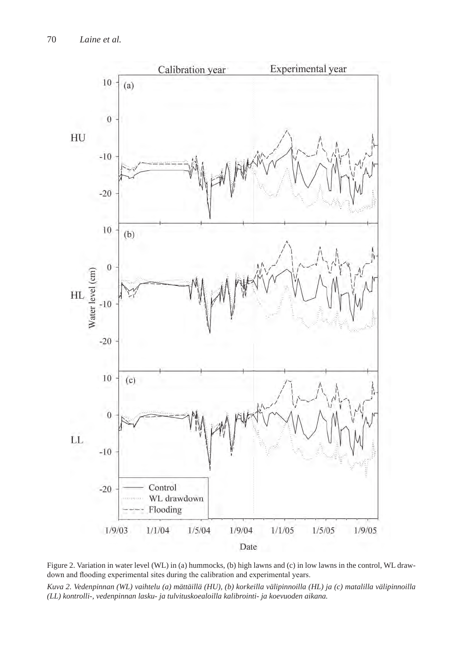

Figure 2. Variation in water level (WL) in (a) hummocks, (b) high lawns and (c) in low lawns in the control, WL drawdown and flooding experimental sites during the calibration and experimental years.

*Kuva 2. Vedenpinnan (WL) vaihtelu (a) mättäillä (HU), (b) korkeilla välipinnoilla (HL) ja (c) matalilla välipinnoilla (LL) kontrolli-, vedenpinnan lasku- ja tulvituskoealoilla kalibrointi- ja koevuoden aikana.*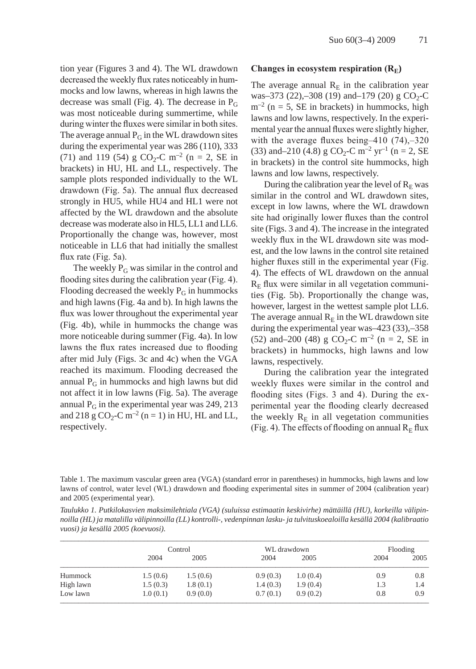tion year (Figures 3 and 4). The WL drawdown decreased the weekly flux rates noticeably in hummocks and low lawns, whereas in high lawns the decrease was small (Fig. 4). The decrease in  $P_G$ was most noticeable during summertime, while during winter the fluxes were similar in both sites. The average annual  $P_G$  in the WL drawdown sites during the experimental year was 286 (110), 333 (71) and 119 (54) g  $CO_2$ -C m<sup>-2</sup> (n = 2, SE in brackets) in HU, HL and LL, respectively. The sample plots responded individually to the WL drawdown (Fig. 5a). The annual flux decreased strongly in HU5, while HU4 and HL1 were not affected by the WL drawdown and the absolute decrease was moderate also in HL5, LL1 and LL6. Proportionally the change was, however, most noticeable in LL6 that had initially the smallest flux rate (Fig. 5a).

The weekly  $P_G$  was similar in the control and flooding sites during the calibration year (Fig. 4). Flooding decreased the weekly  $P_G$  in hummocks and high lawns (Fig. 4a and b). In high lawns the flux was lower throughout the experimental year (Fig. 4b), while in hummocks the change was more noticeable during summer (Fig. 4a). In low lawns the flux rates increased due to flooding after mid July (Figs. 3c and 4c) when the VGA reached its maximum. Flooding decreased the annual  $P_G$  in hummocks and high lawns but did not affect it in low lawns (Fig. 5a). The average annual  $P_G$  in the experimental year was 249, 213 and 218 g  $CO_2$ -C m<sup>-2</sup> (n = 1) in HU, HL and LL, respectively.

#### **Changes in ecosystem respiration (RE)**

The average annual  $R<sub>E</sub>$  in the calibration year was–373 (22),–308 (19) and–179 (20) g  $CO_2$ -C  $m^{-2}$  (n = 5, SE in brackets) in hummocks, high lawns and low lawns, respectively. In the experimental year the annual fluxes were slightly higher, with the average fluxes being–410 (74),–320 (33) and–210 (4.8) g CO<sub>2</sub>-C m<sup>-2</sup> yr<sup>-1</sup> (n = 2, SE in brackets) in the control site hummocks, high lawns and low lawns, respectively.

During the calibration year the level of  $R<sub>E</sub>$  was similar in the control and WL drawdown sites, except in low lawns, where the WL drawdown site had originally lower fluxes than the control site (Figs. 3 and 4). The increase in the integrated weekly flux in the WL drawdown site was modest, and the low lawns in the control site retained higher fluxes still in the experimental year (Fig. 4). The effects of WL drawdown on the annual  $R<sub>E</sub>$  flux were similar in all vegetation communities (Fig. 5b). Proportionally the change was, however, largest in the wettest sample plot LL6. The average annual  $R_E$  in the WL drawdown site during the experimental year was–423 (33),–358 (52) and–200 (48) g  $CO_2$ -C m<sup>-2</sup> (n = 2, SE in brackets) in hummocks, high lawns and low lawns, respectively.

During the calibration year the integrated weekly fluxes were similar in the control and flooding sites (Figs. 3 and 4). During the experimental year the flooding clearly decreased the weekly  $R<sub>E</sub>$  in all vegetation communities (Fig. 4). The effects of flooding on annual  $R<sub>E</sub>$  flux

Table 1. The maximum vascular green area (VGA) (standard error in parentheses) in hummocks, high lawns and low lawns of control, water level (WL) drawdown and flooding experimental sites in summer of 2004 (calibration year) and 2005 (experimental year).

| Taulukko 1. Putkilokasvien maksimilehtiala (VGA) (suluissa estimaatin keskivirhe) mättäillä (HU), korkeilla välipin-       |
|----------------------------------------------------------------------------------------------------------------------------|
| noilla (HL) ja matalilla välipinnoilla (LL) kontrolli-, vedenpinnan lasku- ja tulvituskoealoilla kesällä 2004 (kalibraatio |
| vuosi) ja kesällä 2005 (koevuosi).                                                                                         |

|           | Control  |          | WL drawdown |          | Flooding |      |
|-----------|----------|----------|-------------|----------|----------|------|
|           | 2004     | 2005     | 2004        | 2005     | 2004     | 2005 |
| Hummock   | 1.5(0.6) | 1.5(0.6) | 0.9(0.3)    | 1.0(0.4) | 0.9      | 0.8  |
| High lawn | 1.5(0.3) | 1.8(0.1) | 1.4(0.3)    | 1.9(0.4) | 1.3      | 1.4  |
| Low lawn  | 1.0(0.1) | 0.9(0.0) | 0.7(0.1)    | 0.9(0.2) | 0.8      | 0.9  |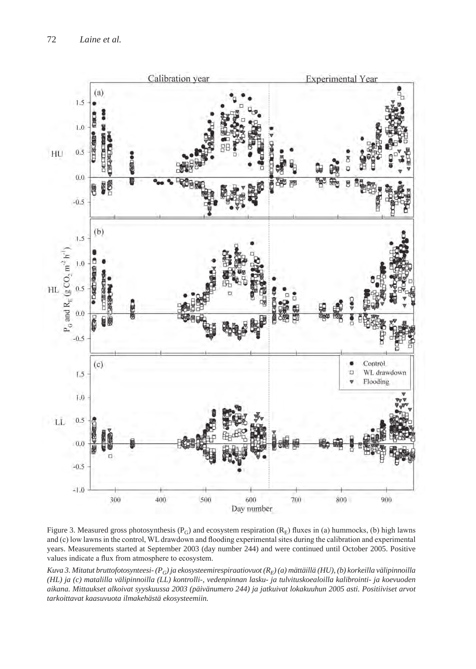

Figure 3. Measured gross photosynthesis ( $P_G$ ) and ecosystem respiration ( $R_E$ ) fluxes in (a) hummocks, (b) high lawns and (c) low lawns in the control, WL drawdown and flooding experimental sites during the calibration and experimental years. Measurements started at September 2003 (day number 244) and were continued until October 2005. Positive values indicate a flux from atmosphere to ecosystem.

Kuva 3. Mitatut bruttofotosynteesi- (P<sub>G</sub>) ja ekosysteemirespiraatiovuot (R<sub>E</sub>) (a) mättäillä (HU), (b) korkeilla välipinnoilla *(HL) ja (c) matalilla välipinnoilla (LL) kontrolli-, vedenpinnan lasku- ja tulvituskoealoilla kalibrointi- ja koevuoden aikana. Mittaukset alkoivat syyskuussa 2003 (päivänumero 244) ja jatkuivat lokakuuhun 2005 asti. Positiiviset arvot tarkoittavat kaasuvuota ilmakehästä ekosysteemiin.*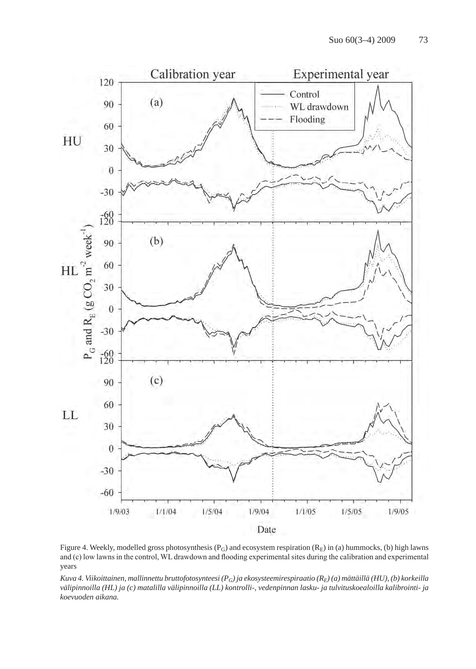

Figure 4. Weekly, modelled gross photosynthesis ( $P_G$ ) and ecosystem respiration ( $R_E$ ) in (a) hummocks, (b) high lawns and (c) low lawns in the control, WL drawdown and flooding experimental sites during the calibration and experimental years

*Kuva 4. Viikoittainen, mallinnettu bruttofotosynteesi (PG) ja ekosysteemirespiraatio (RE) (a) mättäillä (HU), (b) korkeilla välipinnoilla (HL) ja (c) matalilla välipinnoilla (LL) kontrolli-, vedenpinnan lasku- ja tulvituskoealoilla kalibrointi- ja koevuoden aikana.*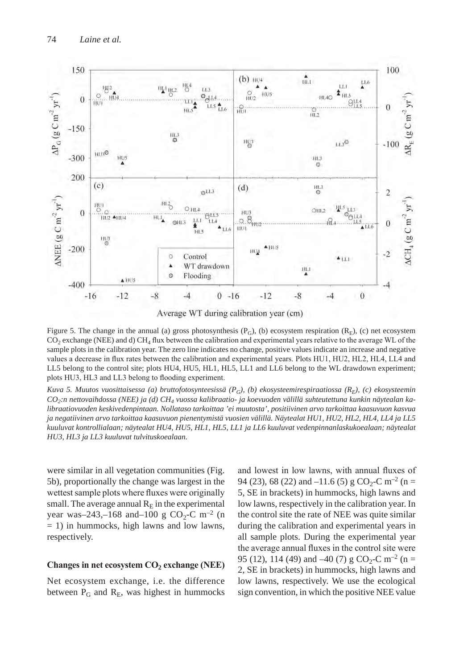

Average WT during calibration year (cm)

Figure 5. The change in the annual (a) gross photosynthesis  $(P_G)$ , (b) ecosystem respiration  $(R_E)$ , (c) net ecosystem  $CO<sub>2</sub>$  exchange (NEE) and d) CH<sub>4</sub> flux between the calibration and experimental years relative to the average WL of the sample plots in the calibration year. The zero line indicates no change, positive values indicate an increase and negative values a decrease in flux rates between the calibration and experimental years. Plots HU1, HU2, HL2, HL4, LL4 and LL5 belong to the control site; plots HU4, HU5, HL1, HL5, LL1 and LL6 belong to the WL drawdown experiment; plots HU3, HL3 and LL3 belong to flooding experiment.

*Kuva 5. Muutos vuosittaisessa (a) bruttofotosynteesissä (PG), (b) ekosysteemirespiraatiossa (RE), (c) ekosysteemin CO2:n nettovaihdossa (NEE) ja (d) CH4 vuossa kalibraatio- ja koevuoden välillä suhteutettuna kunkin näytealan kalibraatiovuoden keskivedenpintaan. Nollataso tarkoittaa 'ei muutosta', positiivinen arvo tarkoittaa kaasuvuon kasvua ja negatiivinen arvo tarkoittaa kaasuvuon pienentymistä vuosien välillä. Näytealat HU1, HU2, HL2, HL4, LL4 ja LL5 kuuluvat kontrollialaan; näytealat HU4, HU5, HL1, HL5, LL1 ja LL6 kuuluvat vedenpinnanlaskukoealaan; näytealat HU3, HL3 ja LL3 kuuluvat tulvituskoealaan.*

were similar in all vegetation communities (Fig. 5b), proportionally the change was largest in the wettest sample plots where fluxes were originally small. The average annual  $R<sub>E</sub>$  in the experimental year was–243,–168 and–100 g CO<sub>2</sub>-C m<sup>-2</sup> (n = 1) in hummocks, high lawns and low lawns, respectively.

#### **Changes in net ecosystem CO2 exchange (NEE)**

Net ecosystem exchange, i.e. the difference between  $P_G$  and  $R_E$ , was highest in hummocks and lowest in low lawns, with annual fluxes of 94 (23), 68 (22) and  $-11.6$  (5) g CO<sub>2</sub>-C m<sup>-2</sup> (n = 5, SE in brackets) in hummocks, high lawns and low lawns, respectively in the calibration year. In the control site the rate of NEE was quite similar during the calibration and experimental years in all sample plots. During the experimental year the average annual fluxes in the control site were 95 (12), 114 (49) and -40 (7) g  $CO_2$ -C m<sup>-2</sup> (n = 2, SE in brackets) in hummocks, high lawns and low lawns, respectively. We use the ecological sign convention, in which the positive NEE value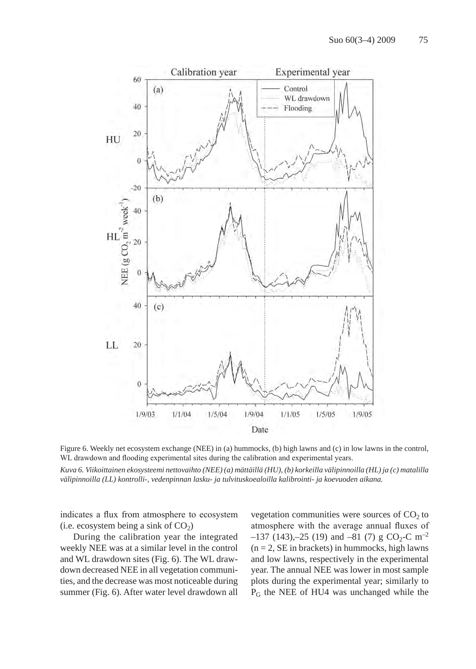

Figure 6. Weekly net ecosystem exchange (NEE) in (a) hummocks, (b) high lawns and (c) in low lawns in the control, WL drawdown and flooding experimental sites during the calibration and experimental years.

*Kuva 6. Viikoittainen ekosysteemi nettovaihto (NEE) (a) mättäillä (HU), (b) korkeilla välipinnoilla (HL) ja (c) matalilla välipinnoilla (LL) kontrolli-, vedenpinnan lasku- ja tulvituskoealoilla kalibrointi- ja koevuoden aikana.*

indicates a flux from atmosphere to ecosystem (i.e. ecosystem being a sink of  $CO<sub>2</sub>$ )

During the calibration year the integrated weekly NEE was at a similar level in the control and WL drawdown sites (Fig. 6). The WL drawdown decreased NEE in all vegetation communities, and the decrease was most noticeable during summer (Fig. 6). After water level drawdown all vegetation communities were sources of  $CO<sub>2</sub>$  to atmosphere with the average annual fluxes of  $-137$  (143), $-25$  (19) and  $-81$  (7) g CO<sub>2</sub>-C m<sup>-2</sup>  $(n = 2, SE$  in brackets) in hummocks, high lawns and low lawns, respectively in the experimental year. The annual NEE was lower in most sample plots during the experimental year; similarly to PG the NEE of HU4 was unchanged while the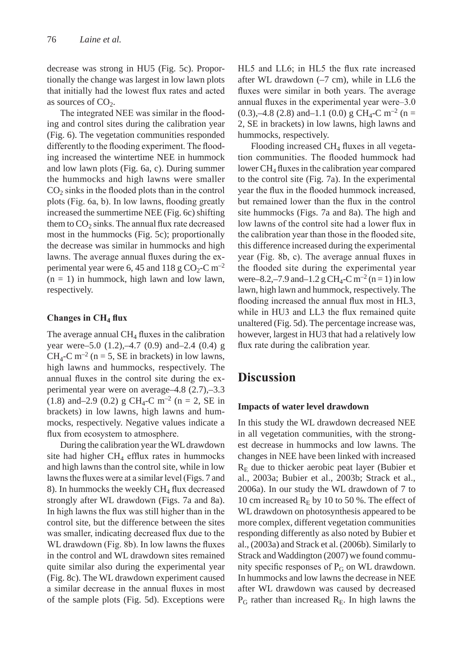decrease was strong in HU5 (Fig. 5c). Proportionally the change was largest in low lawn plots that initially had the lowest flux rates and acted as sources of  $CO<sub>2</sub>$ .

The integrated NEE was similar in the flooding and control sites during the calibration year (Fig. 6). The vegetation communities responded differently to the flooding experiment. The flooding increased the wintertime NEE in hummock and low lawn plots (Fig. 6a, c). During summer the hummocks and high lawns were smaller  $CO<sub>2</sub>$  sinks in the flooded plots than in the control plots (Fig. 6a, b). In low lawns, flooding greatly increased the summertime NEE (Fig. 6c) shifting them to  $CO<sub>2</sub>$  sinks. The annual flux rate decreased most in the hummocks (Fig. 5c); proportionally the decrease was similar in hummocks and high lawns. The average annual fluxes during the experimental year were 6, 45 and 118 g  $CO<sub>2</sub>-C$  m<sup>-2</sup>  $(n = 1)$  in hummock, high lawn and low lawn, respectively.

#### **Changes in CH4 flux**

The average annual  $CH_4$  fluxes in the calibration year were–5.0 (1.2),–4.7 (0.9) and–2.4 (0.4) g  $CH<sub>4</sub>-C$  m<sup>-2</sup> (n = 5, SE in brackets) in low lawns, high lawns and hummocks, respectively. The annual fluxes in the control site during the experimental year were on average–4.8 (2.7),–3.3 (1.8) and–2.9 (0.2) g CH<sub>4</sub>-C m<sup>-2</sup> (n = 2, SE in brackets) in low lawns, high lawns and hummocks, respectively. Negative values indicate a flux from ecosystem to atmosphere.

During the calibration year the WL drawdown site had higher  $CH<sub>4</sub>$  efflux rates in hummocks and high lawns than the control site, while in low lawns the fluxes were at a similar level (Figs. 7 and 8). In hummocks the weekly  $CH<sub>4</sub>$  flux decreased strongly after WL drawdown (Figs. 7a and 8a). In high lawns the flux was still higher than in the control site, but the difference between the sites was smaller, indicating decreased flux due to the WL drawdown (Fig. 8b). In low lawns the fluxes in the control and WL drawdown sites remained quite similar also during the experimental year (Fig. 8c). The WL drawdown experiment caused a similar decrease in the annual fluxes in most of the sample plots (Fig. 5d). Exceptions were

HL5 and LL6; in HL5 the flux rate increased after WL drawdown (–7 cm), while in LL6 the fluxes were similar in both years. The average annual fluxes in the experimental year were–3.0 (0.3),–4.8 (2.8) and–1.1 (0.0) g CH<sub>4</sub>-C m<sup>-2</sup> (n = 2, SE in brackets) in low lawns, high lawns and hummocks, respectively.

Flooding increased  $CH<sub>4</sub>$  fluxes in all vegetation communities. The flooded hummock had lower CH4 fluxes in the calibration year compared to the control site (Fig. 7a). In the experimental year the flux in the flooded hummock increased, but remained lower than the flux in the control site hummocks (Figs. 7a and 8a). The high and low lawns of the control site had a lower flux in the calibration year than those in the flooded site, this difference increased during the experimental year (Fig. 8b, c). The average annual fluxes in the flooded site during the experimental year were–8.2,–7.9 and–1.2 g CH<sub>4</sub>-C m<sup>-2</sup> (n = 1) in low lawn, high lawn and hummock, respectively. The flooding increased the annual flux most in HL3, while in HU3 and LL3 the flux remained quite unaltered (Fig. 5d). The percentage increase was, however, largest in HU3 that had a relatively low flux rate during the calibration year.

### **Discussion**

#### **Impacts of water level drawdown**

In this study the WL drawdown decreased NEE in all vegetation communities, with the strongest decrease in hummocks and low lawns. The changes in NEE have been linked with increased  $R<sub>E</sub>$  due to thicker aerobic peat layer (Bubier et al., 2003a; Bubier et al., 2003b; Strack et al., 2006a). In our study the WL drawdown of 7 to 10 cm increased  $R<sub>E</sub>$  by 10 to 50 %. The effect of WL drawdown on photosynthesis appeared to be more complex, different vegetation communities responding differently as also noted by Bubier et al., (2003a) and Strack et al. (2006b). Similarly to Strack and Waddington (2007) we found community specific responses of  $P_G$  on WL drawdown. In hummocks and low lawns the decrease in NEE after WL drawdown was caused by decreased  $P_G$  rather than increased  $R_E$ . In high lawns the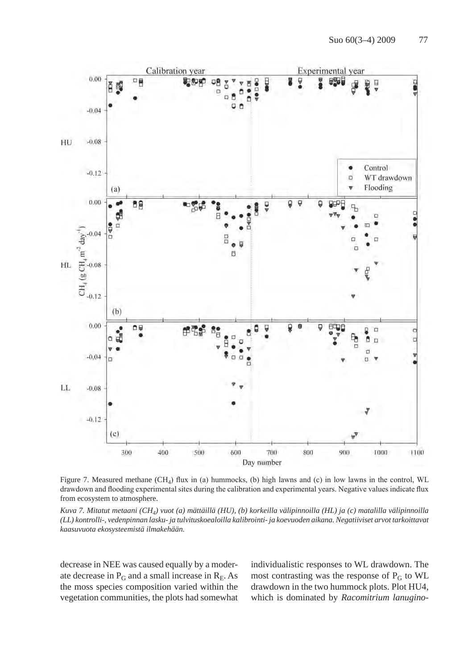

Figure 7. Measured methane (CH4) flux in (a) hummocks, (b) high lawns and (c) in low lawns in the control, WL drawdown and flooding experimental sites during the calibration and experimental years. Negative values indicate flux from ecosystem to atmosphere.

*Kuva 7. Mitatut metaani (CH4) vuot (a) mättäillä (HU), (b) korkeilla välipinnoilla (HL) ja (c) matalilla välipinnoilla (LL) kontrolli-, vedenpinnan lasku- ja tulvituskoealoilla kalibrointi- ja koevuoden aikana. Negatiiviset arvot tarkoittavat kaasuvuota ekosysteemistä ilmakehään.* 

decrease in NEE was caused equally by a moderate decrease in  $P_G$  and a small increase in  $R_E$ . As the moss species composition varied within the vegetation communities, the plots had somewhat individualistic responses to WL drawdown. The most contrasting was the response of  $P_G$  to WL drawdown in the two hummock plots. Plot HU4, which is dominated by *Racomitrium lanugino-*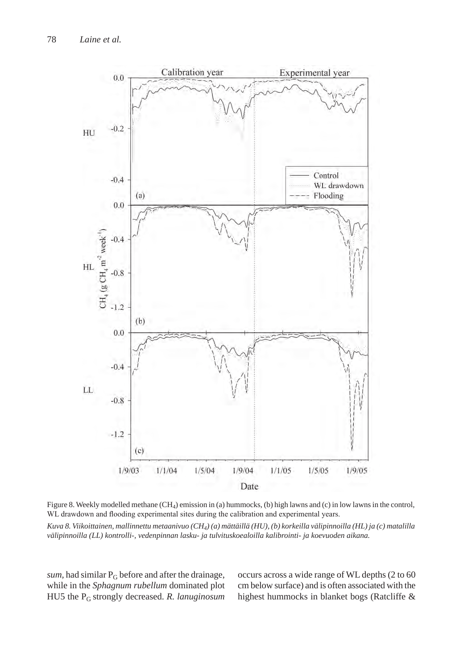

Figure 8. Weekly modelled methane  $(CH_4)$  emission in (a) hummocks, (b) high lawns and (c) in low lawns in the control, WL drawdown and flooding experimental sites during the calibration and experimental years.

*Kuva 8. Viikoittainen, mallinnettu metaanivuo (CH4) (a) mättäillä (HU), (b) korkeilla välipinnoilla (HL) ja (c) matalilla välipinnoilla (LL) kontrolli-, vedenpinnan lasku- ja tulvituskoealoilla kalibrointi- ja koevuoden aikana.*

*sum*, had similar  $P_G$  before and after the drainage, while in the *Sphagnum rubellum* dominated plot HU5 the PG strongly decreased. *R. lanuginosum* occurs across a wide range of WL depths (2 to 60 cm below surface) and is often associated with the highest hummocks in blanket bogs (Ratcliffe &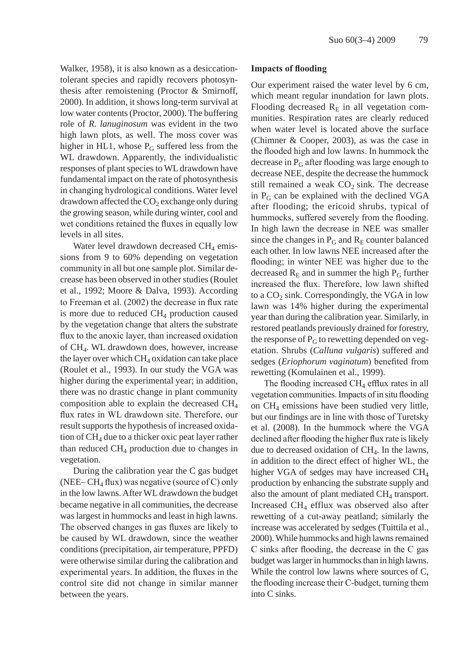Walker, 1958), it is also known as a desiccationtolerant species and rapidly recovers photosynthesis after remoistening (Proctor & Smirnoff, 2000). In addition, it shows long-term survival at low water contents (Proctor, 2000). The buffering role of *R. lanuginosum* was evident in the two high lawn plots, as well. The moss cover was higher in HL1, whose  $P_G$  suffered less from the WL drawdown. Apparently, the individualistic responses of plant species to WL drawdown have fundamental impact on the rate of photosynthesis in changing hydrological conditions. Water level drawdown affected the  $CO<sub>2</sub>$  exchange only during the growing season, while during winter, cool and wet conditions retained the fluxes in equally low levels in all sites.

Water level drawdown decreased  $CH<sub>4</sub>$  emissions from 9 to 60% depending on vegetation community in all but one sample plot. Similar decrease has been observed in other studies (Roulet et al., 1992; Moore & Dalva, 1993). According to Freeman et al. (2002) the decrease in flux rate is more due to reduced  $CH<sub>4</sub>$  production caused by the vegetation change that alters the substrate flux to the anoxic layer, than increased oxidation of CH4. WL drawdown does, however, increase the layer over which  $CH_4$  oxidation can take place (Roulet et al., 1993). In our study the VGA was higher during the experimental year; in addition, there was no drastic change in plant community composition able to explain the decreased CH4 flux rates in WL drawdown site. Therefore, our result supports the hypothesis of increased oxidation of  $CH_4$  due to a thicker oxic peat layer rather than reduced  $CH<sub>4</sub>$  production due to changes in vegetation.

During the calibration year the C gas budget (NEE–  $CH_4$  flux) was negative (source of C) only in the low lawns. After WL drawdown the budget became negative in all communities, the decrease was largest in hummocks and least in high lawns. The observed changes in gas fluxes are likely to be caused by WL drawdown, since the weather conditions (precipitation, air temperature, PPFD) were otherwise similar during the calibration and experimental years. In addition, the fluxes in the control site did not change in similar manner between the years.

#### **Impacts of flooding**

Our experiment raised the water level by 6 cm, which meant regular inundation for lawn plots. Flooding decreased  $R<sub>E</sub>$  in all vegetation communities. Respiration rates are clearly reduced when water level is located above the surface (Chimner & Cooper, 2003), as was the case in the flooded high and low lawns. In hummock the decrease in  $P_G$  after flooding was large enough to decrease NEE, despite the decrease the hummock still remained a weak  $CO<sub>2</sub>$  sink. The decrease in  $P_G$  can be explained with the declined VGA after flooding; the ericoid shrubs, typical of hummocks, suffered severely from the flooding. In high lawn the decrease in NEE was smaller since the changes in  $P_G$  and  $R_E$  counter balanced each other. In low lawns NEE increased after the flooding; in winter NEE was higher due to the decreased  $R<sub>E</sub>$  and in summer the high  $P<sub>G</sub>$  further increased the flux. Therefore, low lawn shifted to a  $CO<sub>2</sub>$  sink. Correspondingly, the VGA in low lawn was 14% higher during the experimental year than during the calibration year. Similarly, in restored peatlands previously drained for forestry, the response of  $P_G$  to rewetting depended on vegetation. Shrubs (*Calluna vulgaris*) suffered and sedges (*Eriophorum vaginatum*) benefited from rewetting (Komulainen et al., 1999).

The flooding increased  $CH<sub>4</sub>$  efflux rates in all vegetation communities. Impacts of in situ flooding on CH4 emissions have been studied very little, but our findings are in line with those of Turetsky et al. (2008). In the hummock where the VGA declined after flooding the higher flux rate is likely due to decreased oxidation of  $CH<sub>4</sub>$ . In the lawns, in addition to the direct effect of higher WL, the higher VGA of sedges may have increased CH<sub>4</sub> production by enhancing the substrate supply and also the amount of plant mediated  $CH<sub>4</sub>$  transport. Increased CH4 efflux was observed also after rewetting of a cut-away peatland; similarly the increase was accelerated by sedges (Tuittila et al., 2000). While hummocks and high lawns remained C sinks after flooding, the decrease in the C gas budget was larger in hummocks than in high lawns. While the control low lawns where sources of C, the flooding increase their C-budget, turning them into C sinks.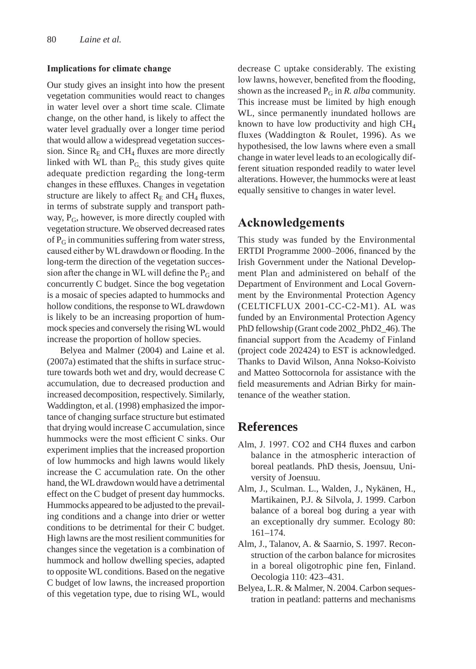#### **Implications for climate change**

Our study gives an insight into how the present vegetation communities would react to changes in water level over a short time scale. Climate change, on the other hand, is likely to affect the water level gradually over a longer time period that would allow a widespread vegetation succession. Since  $R<sub>E</sub>$  and CH<sub>4</sub> fluxes are more directly linked with WL than  $P_G$ , this study gives quite adequate prediction regarding the long-term changes in these effluxes. Changes in vegetation structure are likely to affect  $R<sub>E</sub>$  and CH<sub>4</sub> fluxes, in terms of substrate supply and transport pathway,  $P_G$ , however, is more directly coupled with vegetation structure. We observed decreased rates of  $P_G$  in communities suffering from water stress, caused either by WL drawdown or flooding. In the long-term the direction of the vegetation succession after the change in WL will define the  $P_G$  and concurrently C budget. Since the bog vegetation is a mosaic of species adapted to hummocks and hollow conditions, the response to WL drawdown is likely to be an increasing proportion of hummock species and conversely the rising WL would increase the proportion of hollow species.

Belyea and Malmer (2004) and Laine et al. (2007a) estimated that the shifts in surface structure towards both wet and dry, would decrease C accumulation, due to decreased production and increased decomposition, respectively. Similarly, Waddington, et al. (1998) emphasized the importance of changing surface structure but estimated that drying would increase C accumulation, since hummocks were the most efficient C sinks. Our experiment implies that the increased proportion of low hummocks and high lawns would likely increase the C accumulation rate. On the other hand, the WL drawdown would have a detrimental effect on the C budget of present day hummocks. Hummocks appeared to be adjusted to the prevailing conditions and a change into drier or wetter conditions to be detrimental for their C budget. High lawns are the most resilient communities for changes since the vegetation is a combination of hummock and hollow dwelling species, adapted to opposite WL conditions. Based on the negative C budget of low lawns, the increased proportion of this vegetation type, due to rising WL, would

decrease C uptake considerably. The existing low lawns, however, benefited from the flooding, shown as the increased  $P_G$  in *R. alba* community. This increase must be limited by high enough WL, since permanently inundated hollows are known to have low productivity and high  $CH<sub>4</sub>$ fluxes (Waddington & Roulet, 1996). As we hypothesised, the low lawns where even a small change in water level leads to an ecologically different situation responded readily to water level alterations. However, the hummocks were at least equally sensitive to changes in water level.

### **Acknowledgements**

This study was funded by the Environmental ERTDI Programme 2000–2006, financed by the Irish Government under the National Development Plan and administered on behalf of the Department of Environment and Local Government by the Environmental Protection Agency (CELTICFLUX 2001-CC-C2-M1). AL was funded by an Environmental Protection Agency PhD fellowship (Grant code 2002\_PhD2\_46). The financial support from the Academy of Finland (project code 202424) to EST is acknowledged. Thanks to David Wilson, Anna Nokso-Koivisto and Matteo Sottocornola for assistance with the field measurements and Adrian Birky for maintenance of the weather station.

### **References**

- Alm, J. 1997. CO2 and CH4 fluxes and carbon balance in the atmospheric interaction of boreal peatlands. PhD thesis, Joensuu, University of Joensuu.
- Alm, J., Sculman. L., Walden, J., Nykänen, H., Martikainen, P.J. & Silvola, J. 1999. Carbon balance of a boreal bog during a year with an exceptionally dry summer. Ecology 80: 161–174.
- Alm, J., Talanov, A. & Saarnio, S. 1997. Reconstruction of the carbon balance for microsites in a boreal oligotrophic pine fen, Finland. Oecologia 110: 423–431.
- Belyea, L.R. & Malmer, N. 2004. Carbon sequestration in peatland: patterns and mechanisms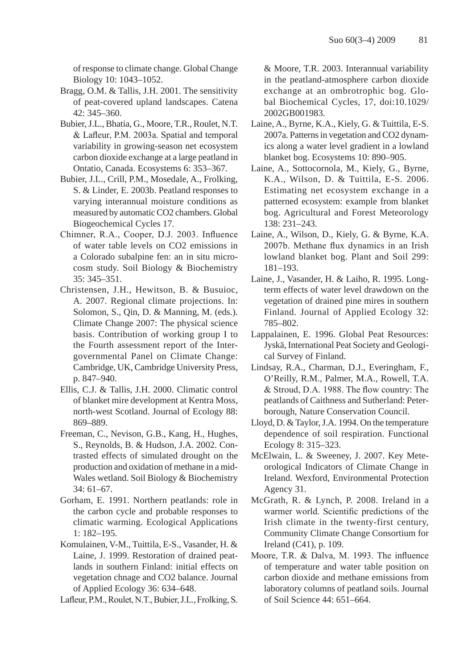of response to climate change. Global Change Biology 10: 1043–1052.

- Bragg, O.M. & Tallis, J.H. 2001. The sensitivity of peat-covered upland landscapes. Catena 42: 345–360.
- Bubier, J.L., Bhatia, G., Moore, T.R., Roulet, N.T. & Lafleur, P.M. 2003a. Spatial and temporal variability in growing-season net ecosystem carbon dioxide exchange at a large peatland in Ontatio, Canada. Ecosystems 6: 353–367.
- Bubier, J.L., Crill, P.M., Mosedale, A., Frolking, S. & Linder, E. 2003b. Peatland responses to varying interannual moisture conditions as measured by automatic CO2 chambers. Global Biogeochemical Cycles 17.
- Chimner, R.A., Cooper, D.J. 2003. Influence of water table levels on CO2 emissions in a Colorado subalpine fen: an in situ microcosm study. Soil Biology & Biochemistry 35: 345–351.
- Christensen, J.H., Hewitson, B. & Busuioc, A. 2007. Regional climate projections. In: Solomon, S., Qin, D. & Manning, M. (eds.). Climate Change 2007: The physical science basis. Contribution of working group I to the Fourth assessment report of the Intergovernmental Panel on Climate Change: Cambridge, UK, Cambridge University Press, p. 847–940.
- Ellis, C.J. & Tallis, J.H. 2000. Climatic control of blanket mire development at Kentra Moss, north-west Scotland. Journal of Ecology 88: 869–889.
- Freeman, C., Nevison, G.B., Kang, H., Hughes, S., Reynolds, B. & Hudson, J.A. 2002. Contrasted effects of simulated drought on the production and oxidation of methane in a mid-Wales wetland. Soil Biology & Biochemistry 34: 61–67.
- Gorham, E. 1991. Northern peatlands: role in the carbon cycle and probable responses to climatic warming. Ecological Applications 1: 182–195.
- Komulainen, V-M., Tuittila, E-S., Vasander, H. & Laine, J. 1999. Restoration of drained peatlands in southern Finland: initial effects on vegetation chnage and CO2 balance. Journal of Applied Ecology 36: 634–648.
- Lafleur, P.M., Roulet, N.T., Bubier, J.L., Frolking, S.

& Moore, T.R. 2003. Interannual variability in the peatland-atmosphere carbon dioxide exchange at an ombrotrophic bog. Global Biochemical Cycles, 17, doi:10.1029/ 2002GB001983.

- Laine, A., Byrne, K.A., Kiely, G. & Tuittila, E-S. 2007a. Patterns in vegetation and CO2 dynamics along a water level gradient in a lowland blanket bog. Ecosystems 10: 890–905.
- Laine, A., Sottocornola, M., Kiely, G., Byrne, K.A., Wilson, D. & Tuittila, E-S. 2006. Estimating net ecosystem exchange in a patterned ecosystem: example from blanket bog. Agricultural and Forest Meteorology 138: 231–243.
- Laine, A., Wilson, D., Kiely, G. & Byrne, K.A. 2007b. Methane flux dynamics in an Irish lowland blanket bog. Plant and Soil 299: 181–193.
- Laine, J., Vasander, H. & Laiho, R. 1995. Longterm effects of water level drawdown on the vegetation of drained pine mires in southern Finland. Journal of Applied Ecology 32: 785–802.
- Lappalainen, E. 1996. Global Peat Resources: Jyskä, International Peat Society and Geological Survey of Finland.
- Lindsay, R.A., Charman, D.J., Everingham, F., O'Reilly, R.M., Palmer, M.A., Rowell, T.A. & Stroud, D.A. 1988. The flow country: The peatlands of Caithness and Sutherland: Peterborough, Nature Conservation Council.
- Lloyd, D. & Taylor, J.A. 1994. On the temperature dependence of soil respiration. Functional Ecology 8: 315–323.
- McElwain, L. & Sweeney, J. 2007. Key Meteorological Indicators of Climate Change in Ireland. Wexford, Environmental Protection Agency 31.
- McGrath, R. & Lynch, P. 2008. Ireland in a warmer world. Scientific predictions of the Irish climate in the twenty-first century, Community Climate Change Consortium for Ireland (C41), p. 109.
- Moore, T.R. & Dalva, M. 1993. The influence of temperature and water table position on carbon dioxide and methane emissions from laboratory columns of peatland soils. Journal of Soil Science 44: 651–664.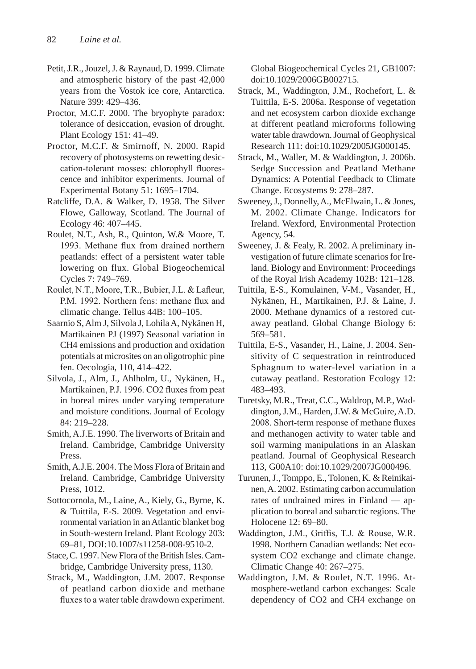- Petit, J.R., Jouzel, J. & Raynaud, D. 1999. Climate and atmospheric history of the past 42,000 years from the Vostok ice core, Antarctica. Nature 399: 429–436.
- Proctor, M.C.F. 2000. The bryophyte paradox: tolerance of desiccation, evasion of drought. Plant Ecology 151: 41–49.
- Proctor, M.C.F. & Smirnoff, N. 2000. Rapid recovery of photosystems on rewetting desiccation-tolerant mosses: chlorophyll fluorescence and inhibitor experiments. Journal of Experimental Botany 51: 1695–1704.
- Ratcliffe, D.A. & Walker, D. 1958. The Silver Flowe, Galloway, Scotland. The Journal of Ecology 46: 407–445.
- Roulet, N.T., Ash, R., Quinton, W.& Moore, T. 1993. Methane flux from drained northern peatlands: effect of a persistent water table lowering on flux. Global Biogeochemical Cycles 7: 749–769.
- Roulet, N.T., Moore, T.R., Bubier, J.L. & Lafleur, P.M. 1992. Northern fens: methane flux and climatic change. Tellus 44B: 100–105.
- Saarnio S, Alm J, Silvola J, Lohila A, Nykänen H, Martikainen PJ (1997) Seasonal variation in CH4 emissions and production and oxidation potentials at microsites on an oligotrophic pine fen. Oecologia, 110, 414–422.
- Silvola, J., Alm, J., Ahlholm, U., Nykänen, H., Martikainen, P.J. 1996. CO2 fluxes from peat in boreal mires under varying temperature and moisture conditions. Journal of Ecology 84: 219–228.
- Smith, A.J.E. 1990. The liverworts of Britain and Ireland. Cambridge, Cambridge University Press.
- Smith, A.J.E. 2004. The Moss Flora of Britain and Ireland. Cambridge, Cambridge University Press, 1012.
- Sottocornola, M., Laine, A., Kiely, G., Byrne, K. & Tuittila, E-S. 2009. Vegetation and environmental variation in an Atlantic blanket bog in South-western Ireland. Plant Ecology 203: 69–81, DOI:10.1007/s11258-008-9510-2.
- Stace, C. 1997. New Flora of the British Isles. Cambridge, Cambridge University press, 1130.
- Strack, M., Waddington, J.M. 2007. Response of peatland carbon dioxide and methane fluxes to a water table drawdown experiment.

Global Biogeochemical Cycles 21, GB1007: doi:10.1029/2006GB002715.

- Strack, M., Waddington, J.M., Rochefort, L. & Tuittila, E-S. 2006a. Response of vegetation and net ecosystem carbon dioxide exchange at different peatland microforms following water table drawdown. Journal of Geophysical Research 111: doi:10.1029/2005JG000145.
- Strack, M., Waller, M. & Waddington, J. 2006b. Sedge Succession and Peatland Methane Dynamics: A Potential Feedback to Climate Change. Ecosystems 9: 278–287.
- Sweeney, J., Donnelly, A., McElwain, L. & Jones, M. 2002. Climate Change. Indicators for Ireland. Wexford, Environmental Protection Agency, 54.
- Sweeney, J. & Fealy, R. 2002. A preliminary investigation of future climate scenarios for Ireland. Biology and Environment: Proceedings of the Royal Irish Academy 102B: 121–128.
- Tuittila, E-S., Komulainen, V-M., Vasander, H., Nykänen, H., Martikainen, P.J. & Laine, J. 2000. Methane dynamics of a restored cutaway peatland. Global Change Biology 6: 569–581.
- Tuittila, E-S., Vasander, H., Laine, J. 2004. Sensitivity of C sequestration in reintroduced Sphagnum to water-level variation in a cutaway peatland. Restoration Ecology 12: 483–493.
- Turetsky, M.R., Treat, C.C., Waldrop, M.P., Waddington, J.M., Harden, J.W. & McGuire, A.D. 2008. Short-term response of methane fluxes and methanogen activity to water table and soil warming manipulations in an Alaskan peatland. Journal of Geophysical Research 113, G00A10: doi:10.1029/2007JG000496.
- Turunen, J., Tomppo, E., Tolonen, K. & Reinikainen, A. 2002. Estimating carbon accumulation rates of undrained mires in Finland — application to boreal and subarctic regions. The Holocene 12: 69–80.
- Waddington, J.M., Griffis, T.J. & Rouse, W.R. 1998. Northern Canadian wetlands: Net ecosystem CO2 exchange and climate change. Climatic Change 40: 267–275.
- Waddington, J.M. & Roulet, N.T. 1996. Atmosphere-wetland carbon exchanges: Scale dependency of CO2 and CH4 exchange on